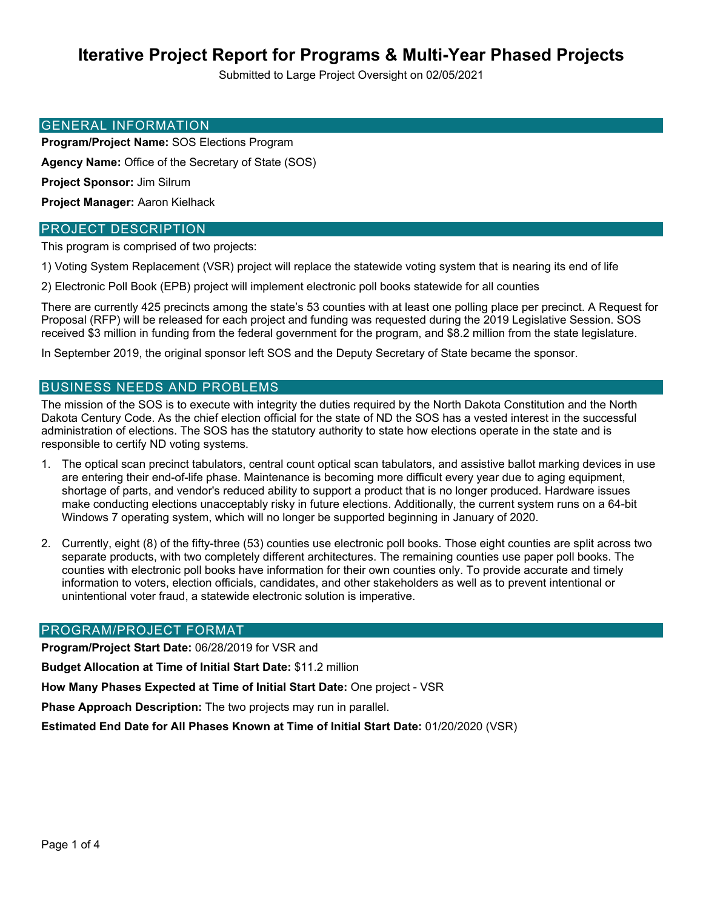Submitted to Large Project Oversight on 02/05/2021

### GENERAL INFORMATION

**Program/Project Name:** SOS Elections Program

**Agency Name:** Office of the Secretary of State (SOS)

**Project Sponsor:** Jim Silrum

**Project Manager:** Aaron Kielhack

#### PROJECT DESCRIPTION

This program is comprised of two projects:

1) Voting System Replacement (VSR) project will replace the statewide voting system that is nearing its end of life

2) Electronic Poll Book (EPB) project will implement electronic poll books statewide for all counties

There are currently 425 precincts among the state's 53 counties with at least one polling place per precinct. A Request for Proposal (RFP) will be released for each project and funding was requested during the 2019 Legislative Session. SOS received \$3 million in funding from the federal government for the program, and \$8.2 million from the state legislature.

In September 2019, the original sponsor left SOS and the Deputy Secretary of State became the sponsor.

### BUSINESS NEEDS AND PROBLEMS

The mission of the SOS is to execute with integrity the duties required by the North Dakota Constitution and the North Dakota Century Code. As the chief election official for the state of ND the SOS has a vested interest in the successful administration of elections. The SOS has the statutory authority to state how elections operate in the state and is responsible to certify ND voting systems.

- 1. The optical scan precinct tabulators, central count optical scan tabulators, and assistive ballot marking devices in use are entering their end-of-life phase. Maintenance is becoming more difficult every year due to aging equipment, shortage of parts, and vendor's reduced ability to support a product that is no longer produced. Hardware issues make conducting elections unacceptably risky in future elections. Additionally, the current system runs on a 64-bit Windows 7 operating system, which will no longer be supported beginning in January of 2020.
- 2. Currently, eight (8) of the fifty-three (53) counties use electronic poll books. Those eight counties are split across two separate products, with two completely different architectures. The remaining counties use paper poll books. The counties with electronic poll books have information for their own counties only. To provide accurate and timely information to voters, election officials, candidates, and other stakeholders as well as to prevent intentional or unintentional voter fraud, a statewide electronic solution is imperative.

#### PROGRAM/PROJECT FORMAT

**Program/Project Start Date:** 06/28/2019 for VSR and

**Budget Allocation at Time of Initial Start Date:** \$11.2 million

**How Many Phases Expected at Time of Initial Start Date:** One project - VSR

**Phase Approach Description:** The two projects may run in parallel.

**Estimated End Date for All Phases Known at Time of Initial Start Date:** 01/20/2020 (VSR)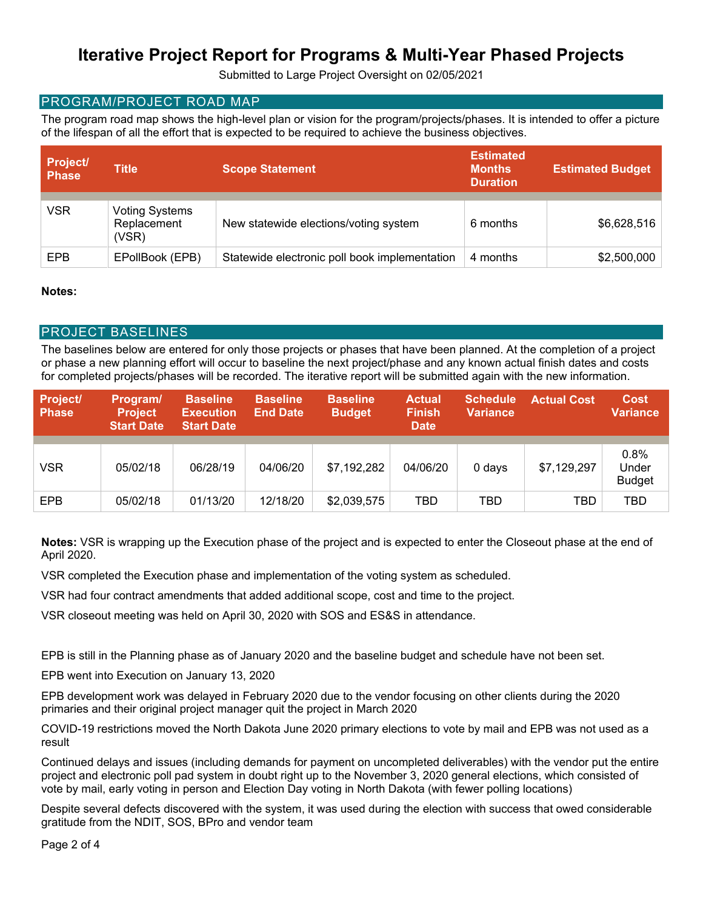Submitted to Large Project Oversight on 02/05/2021

# PROGRAM/PROJECT ROAD MAP

The program road map shows the high-level plan or vision for the program/projects/phases. It is intended to offer a picture of the lifespan of all the effort that is expected to be required to achieve the business objectives.

| <b>Project/</b><br><b>Phase</b> | <b>Title</b>                                  | <b>Scope Statement</b>                        | <b>Estimated</b><br><b>Months</b><br><b>Duration</b> | <b>Estimated Budget</b> |
|---------------------------------|-----------------------------------------------|-----------------------------------------------|------------------------------------------------------|-------------------------|
| <b>VSR</b>                      | <b>Voting Systems</b><br>Replacement<br>(VSR) | New statewide elections/voting system         | 6 months                                             | \$6,628,516             |
| EPB                             | EPollBook (EPB)                               | Statewide electronic poll book implementation | 4 months                                             | \$2,500,000             |

### **Notes:**

## PROJECT BASELINES

The baselines below are entered for only those projects or phases that have been planned. At the completion of a project or phase a new planning effort will occur to baseline the next project/phase and any known actual finish dates and costs for completed projects/phases will be recorded. The iterative report will be submitted again with the new information.

| <b>Project/</b><br><b>Phase</b> | Program/<br><b>Project</b><br><b>Start Date</b> | <b>Baseline</b><br><b>Execution</b><br><b>Start Date</b> | <b>Baseline</b><br><b>End Date</b> | <b>Baseline</b><br><b>Budget</b> | <b>Actual</b><br><b>Finish</b><br><b>Date</b> | <b>Schedule</b><br><b>Variance</b> | <b>Actual Cost</b> | Cost<br><b>Variance</b>        |
|---------------------------------|-------------------------------------------------|----------------------------------------------------------|------------------------------------|----------------------------------|-----------------------------------------------|------------------------------------|--------------------|--------------------------------|
| VSR                             | 05/02/18                                        | 06/28/19                                                 | 04/06/20                           | \$7,192,282                      | 04/06/20                                      | 0 days                             | \$7,129,297        | 0.8%<br>Under<br><b>Budget</b> |
| <b>EPB</b>                      | 05/02/18                                        | 01/13/20                                                 | 12/18/20                           | \$2,039,575                      | <b>TBD</b>                                    | TBD                                | TBD                | TBD                            |

**Notes:** VSR is wrapping up the Execution phase of the project and is expected to enter the Closeout phase at the end of April 2020.

VSR completed the Execution phase and implementation of the voting system as scheduled.

VSR had four contract amendments that added additional scope, cost and time to the project.

VSR closeout meeting was held on April 30, 2020 with SOS and ES&S in attendance.

EPB is still in the Planning phase as of January 2020 and the baseline budget and schedule have not been set.

EPB went into Execution on January 13, 2020

EPB development work was delayed in February 2020 due to the vendor focusing on other clients during the 2020 primaries and their original project manager quit the project in March 2020

COVID-19 restrictions moved the North Dakota June 2020 primary elections to vote by mail and EPB was not used as a result

Continued delays and issues (including demands for payment on uncompleted deliverables) with the vendor put the entire project and electronic poll pad system in doubt right up to the November 3, 2020 general elections, which consisted of vote by mail, early voting in person and Election Day voting in North Dakota (with fewer polling locations)

Despite several defects discovered with the system, it was used during the election with success that owed considerable gratitude from the NDIT, SOS, BPro and vendor team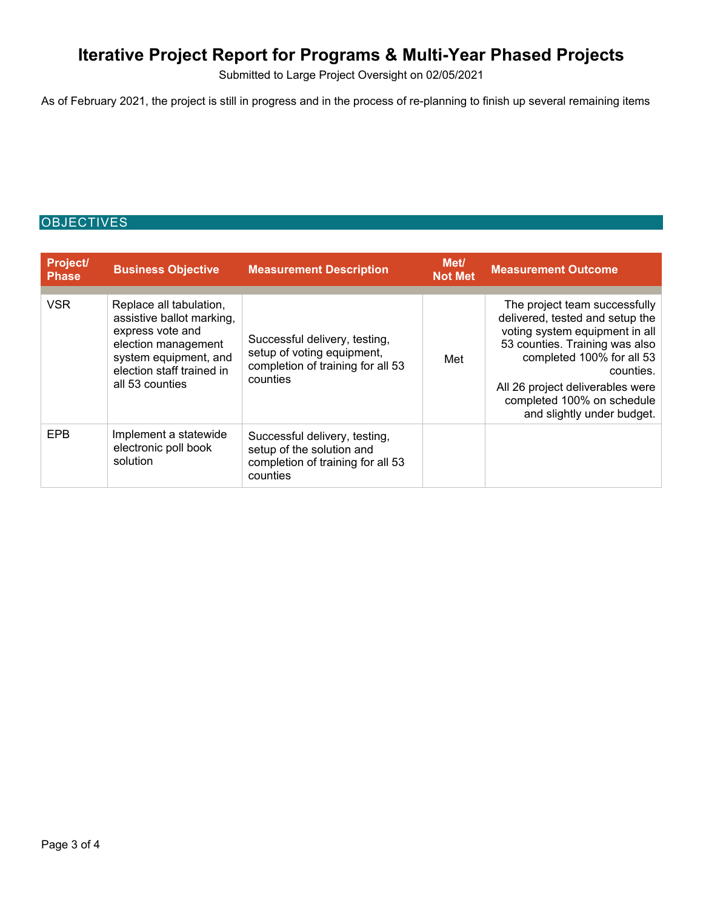Submitted to Large Project Oversight on 02/05/2021

As of February 2021, the project is still in progress and in the process of re-planning to finish up several remaining items

# OBJECTIVES

| <b>Project/</b><br><b>Phase</b> | <b>Business Objective</b>                                                                                                                                                | <b>Measurement Description</b>                                                                               | Met/<br><b>Not Met</b> | <b>Measurement Outcome</b>                                                                                                                                                                                                                                                     |
|---------------------------------|--------------------------------------------------------------------------------------------------------------------------------------------------------------------------|--------------------------------------------------------------------------------------------------------------|------------------------|--------------------------------------------------------------------------------------------------------------------------------------------------------------------------------------------------------------------------------------------------------------------------------|
| <b>VSR</b>                      | Replace all tabulation,<br>assistive ballot marking,<br>express vote and<br>election management<br>system equipment, and<br>election staff trained in<br>all 53 counties | Successful delivery, testing,<br>setup of voting equipment,<br>completion of training for all 53<br>counties | Met                    | The project team successfully<br>delivered, tested and setup the<br>voting system equipment in all<br>53 counties. Training was also<br>completed 100% for all 53<br>counties.<br>All 26 project deliverables were<br>completed 100% on schedule<br>and slightly under budget. |
| <b>EPB</b>                      | Implement a statewide<br>electronic poll book<br>solution                                                                                                                | Successful delivery, testing,<br>setup of the solution and<br>completion of training for all 53<br>counties  |                        |                                                                                                                                                                                                                                                                                |